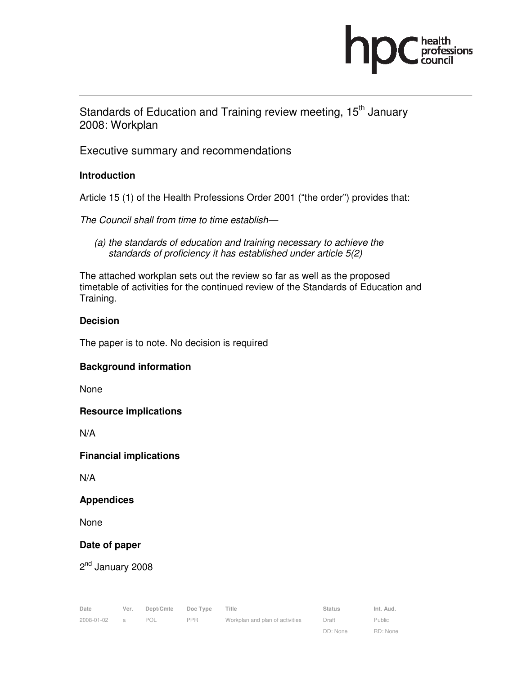

Standards of Education and Training review meeting, 15<sup>th</sup> January 2008: Workplan

Executive summary and recommendations

## **Introduction**

Article 15 (1) of the Health Professions Order 2001 ("the order") provides that:

The Council shall from time to time establish—

(a) the standards of education and training necessary to achieve the standards of proficiency it has established under article 5(2)

The attached workplan sets out the review so far as well as the proposed timetable of activities for the continued review of the Standards of Education and Training.

### **Decision**

The paper is to note. No decision is required

### **Background information**

None

### **Resource implications**

N/A

### **Financial implications**

N/A

### **Appendices**

None

## **Date of paper**

2<sup>nd</sup> January 2008

| Date       | Ver. | Dept/Cmte | Doc Type   | Title                           | <b>Status</b> | Int. Aud. |
|------------|------|-----------|------------|---------------------------------|---------------|-----------|
| 2008-01-02 |      | POL       | <b>PPR</b> | Workplan and plan of activities | Draft         | Public    |
|            |      |           |            |                                 | DD: None      | RD: None  |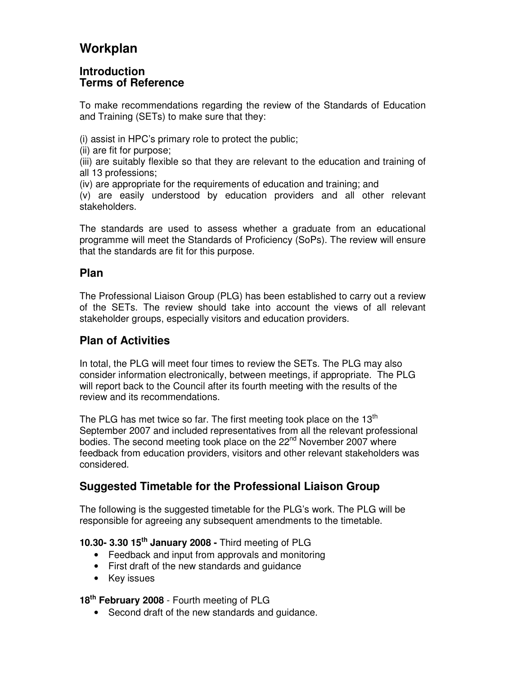# **Workplan**

## **Introduction Terms of Reference**

To make recommendations regarding the review of the Standards of Education and Training (SETs) to make sure that they:

(i) assist in HPC's primary role to protect the public;

(ii) are fit for purpose;

(iii) are suitably flexible so that they are relevant to the education and training of all 13 professions;

(iv) are appropriate for the requirements of education and training; and

(v) are easily understood by education providers and all other relevant stakeholders.

The standards are used to assess whether a graduate from an educational programme will meet the Standards of Proficiency (SoPs). The review will ensure that the standards are fit for this purpose.

# **Plan**

The Professional Liaison Group (PLG) has been established to carry out a review of the SETs. The review should take into account the views of all relevant stakeholder groups, especially visitors and education providers.

# **Plan of Activities**

In total, the PLG will meet four times to review the SETs. The PLG may also consider information electronically, between meetings, if appropriate. The PLG will report back to the Council after its fourth meeting with the results of the review and its recommendations.

The PLG has met twice so far. The first meeting took place on the  $13<sup>th</sup>$ September 2007 and included representatives from all the relevant professional bodies. The second meeting took place on the 22<sup>nd</sup> November 2007 where feedback from education providers, visitors and other relevant stakeholders was considered.

# **Suggested Timetable for the Professional Liaison Group**

The following is the suggested timetable for the PLG's work. The PLG will be responsible for agreeing any subsequent amendments to the timetable.

## **10.30- 3.30 15th January 2008 -** Third meeting of PLG

- Feedback and input from approvals and monitoring
- First draft of the new standards and guidance
- Key issues

**18th February 2008** - Fourth meeting of PLG

• Second draft of the new standards and guidance.